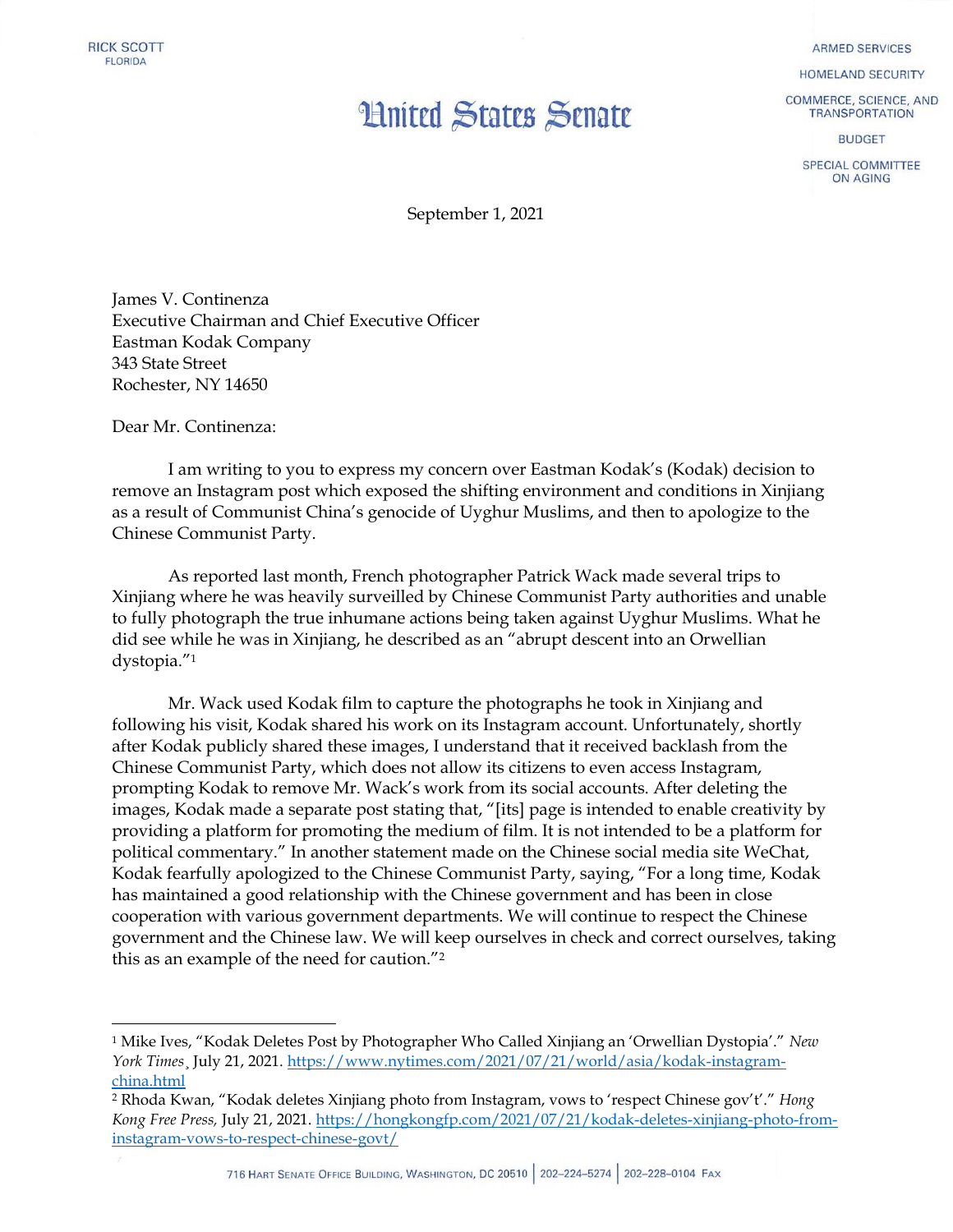## **Hnited States Senate**

**ARMED SERVICES** 

HOMELAND SECURITY

COMMERCE, SCIENCE, AND **TRANSPORTATION** 

**BUDGET** 

SPECIAL COMMITTEE ON AGING

September 1, 2021

James V. Continenza Executive Chairman and Chief Executive Officer Eastman Kodak Company 343 State Street Rochester, NY 14650

Dear Mr. Continenza:

 $\overline{\phantom{a}}$ 

I am writing to you to express my concern over Eastman Kodak's (Kodak) decision to remove an Instagram post which exposed the shifting environment and conditions in Xinjiang as a result of Communist China's genocide of Uyghur Muslims, and then to apologize to the Chinese Communist Party.

As reported last month, French photographer Patrick Wack made several trips to Xinjiang where he was heavily surveilled by Chinese Communist Party authorities and unable to fully photograph the true inhumane actions being taken against Uyghur Muslims. What he did see while he was in Xinjiang, he described as an "abrupt descent into an Orwellian dystopia."<sup>1</sup>

Mr. Wack used Kodak film to capture the photographs he took in Xinjiang and following his visit, Kodak shared his work on its Instagram account. Unfortunately, shortly after Kodak publicly shared these images, I understand that it received backlash from the Chinese Communist Party, which does not allow its citizens to even access Instagram, prompting Kodak to remove Mr. Wack's work from its social accounts. After deleting the images, Kodak made a separate post stating that, "[its] page is intended to enable creativity by providing a platform for promoting the medium of film. It is not intended to be a platform for political commentary." In another statement made on the Chinese social media site WeChat, Kodak fearfully apologized to the Chinese Communist Party, saying, "For a long time, Kodak has maintained a good relationship with the Chinese government and has been in close cooperation with various government departments. We will continue to respect the Chinese government and the Chinese law. We will keep ourselves in check and correct ourselves, taking this as an example of the need for caution."<sup>2</sup>

<sup>1</sup> Mike Ives, "Kodak Deletes Post by Photographer Who Called Xinjiang an 'Orwellian Dystopia'." *New York Times*¸ July 21, 2021[. https://www.nytimes.com/2021/07/21/world/asia/kodak-instagram](https://www.nytimes.com/2021/07/21/world/asia/kodak-instagram-china.html)[china.html](https://www.nytimes.com/2021/07/21/world/asia/kodak-instagram-china.html)

<sup>2</sup> Rhoda Kwan, "Kodak deletes Xinjiang photo from Instagram, vows to 'respect Chinese gov't'." *Hong Kong Free Press,* July 21, 2021. [https://hongkongfp.com/2021/07/21/kodak-deletes-xinjiang-photo-from](https://hongkongfp.com/2021/07/21/kodak-deletes-xinjiang-photo-from-instagram-vows-to-respect-chinese-govt/)[instagram-vows-to-respect-chinese-govt/](https://hongkongfp.com/2021/07/21/kodak-deletes-xinjiang-photo-from-instagram-vows-to-respect-chinese-govt/)